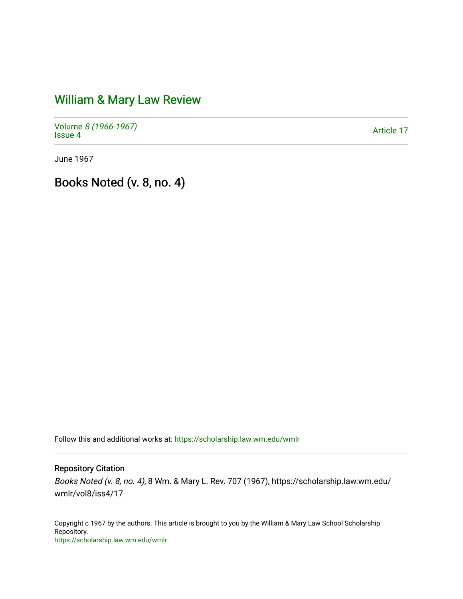# [William & Mary Law Review](https://scholarship.law.wm.edu/wmlr)

Volume [8 \(1966-1967\)](https://scholarship.law.wm.edu/wmlr/vol8)  volume *o* (1900-1907)<br>[Issue 4](https://scholarship.law.wm.edu/wmlr/vol8/iss4)

June 1967

Books Noted (v. 8, no. 4)

Follow this and additional works at: [https://scholarship.law.wm.edu/wmlr](https://scholarship.law.wm.edu/wmlr?utm_source=scholarship.law.wm.edu%2Fwmlr%2Fvol8%2Fiss4%2F17&utm_medium=PDF&utm_campaign=PDFCoverPages)

# Repository Citation

Books Noted (v. 8, no. 4), 8 Wm. & Mary L. Rev. 707 (1967), https://scholarship.law.wm.edu/ wmlr/vol8/iss4/17

Copyright c 1967 by the authors. This article is brought to you by the William & Mary Law School Scholarship Repository. <https://scholarship.law.wm.edu/wmlr>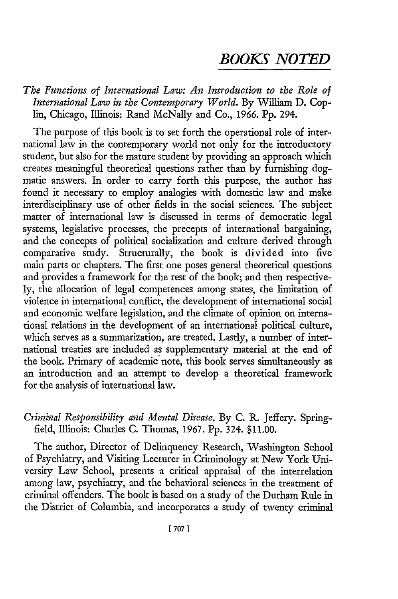# *BOOKS NOTED*

*The Functions of International Law: An Introduction to the Role of International Law in the Contemporary World.* By William D. Coplin, Chicago, Illinois: Rand McNally and Co., 1966. Pp. 294.

The purpose of this book is to set forth the operational role of international law in the contemporary world not only for the introductory student, but also for the mature student by providing an approach which creates meaningful theoretical questions rather than by furnishing dogmatic answers. In order to carry forth this purpose, the author has found it necessary to employ analogies with domestic law and make interdisciplinary use of other fields in the social sciences. The subject matter of international law is discussed in terms of democratic legal systems, legislative processes, the precepts of international bargaining, and the concepts of political socialization and culture derived through comparative study. Structurally, the book is divided into five main parts or chapters. The first one poses general theoretical questions and provides a framework for the rest of the book; and then respectively, the allocation of legal competences among states, the limitation of violence in international conflict, the development of international social and economic welfare legislation, and the climate of opinion on international relations in the development of an international political culture, which serves as a summarization, are treated. Lastly, a number of international treaties are included as supplementary material at the end of the book. Primary of academic note, this book serves simultaneously as an introduction and an attempt to develop a theoretical framework for the analysis of international law.

## *Criminal Responsibility and Mental Disease.* By C. R. Jeffery. Springfield, Illinois: Charles C. Thomas, 1967. Pp. 324. \$11.00.

The author, Director of Delinquency Research, Washington School of Psychiatry, and Visiting Lecturer in Criminology at New York University Law School, presents a critical appraisal of the interrelation among law, psychiatry, and the behavioral sciences in the treatment of criminal offenders. The book is based on a study of the Durham Rule in the District of Columbia, and incorporates a study of twenty criminal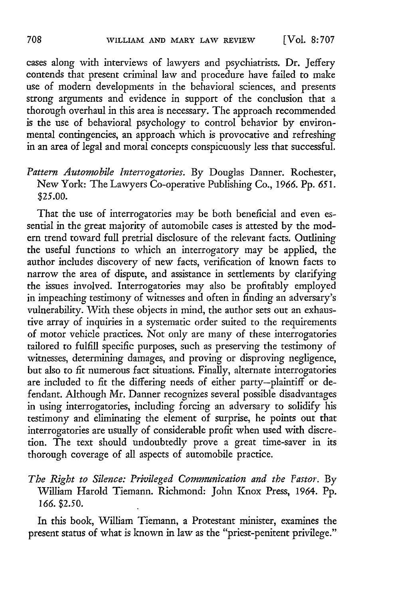cases along with interviews of lawyers and psychiatrists. Dr. Jeffery contends that present criminal law and procedure have failed to make use of modern developments in the behavioral sciences, and presents strong arguments and evidence in support of the conclusion that a thorough overhaul in this area is necessary. The approach recommended is the use of behavioral psychology to control behavior by environmental contingencies, an approach which is provocative and refreshing in an area of legal and moral concepts conspicuously less that successful.

## *Pattern Automobile Interrogatories.* By Douglas Danner. Rochester, New York: The Lawyers Co-operative Publishing Co., *1966.* **Pp.** *651.* \$25.00.

That the use of interrogatories may be both beneficial and even essential in the great majority of automobile cases is attested by the modern trend toward full pretrial disclosure of the relevant facts. Outlining the useful functions to which an interrogatory may be applied, the author includes discovery of new facts, verification of known facts to narrow the area of dispute, and assistance in settlements by clarifying the issues involved. Interrogatories may also be profitably employed in impeaching testimony of witnesses and often in finding an adversary's vulnerability. With these objects in mind, the author sets out an exhaustive array of inquiries in a systematic order suited to the requirements of motor vehicle practices. Not only are many of these interrogatories tailored to fulfill specific purposes, such as preserving the testimony of witnesses, determining damages, and proving or disproving negligence, but also to fit numerous fact situations. Finally, alternate interrogatories are included to fit the differing needs of either party-plaintiff or defendant. Although Mr. Danner recognizes several possible disadvantages in using interrogatories, including forcing an adversary to solidify his testimony and eliminating the element of surprise, he points out that interrogatories are usually of considerable profit when used with discretion. The text should undoubtedly prove a great time-saver in its thorough coverage of all aspects of automobile practice.

*The Right to Silence: Privileged Communication and the Fastor.* By William Harold Tiemann. Richmond: John Knox Press, 1964. Pp. *166.* \$2.50.

In this book, William Tiemann, a Protestant minister, examines the present status of what is known in law as the "priest-penitent privilege."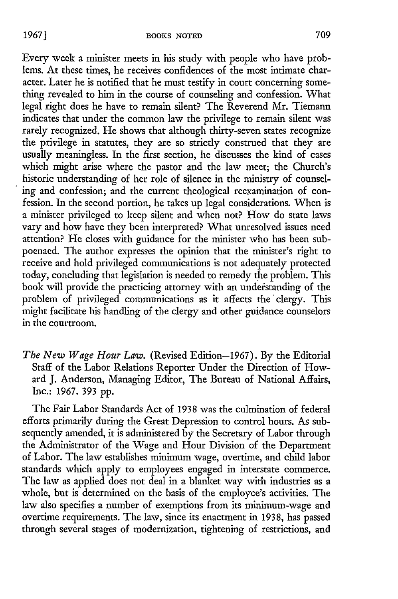Every week a minister meets in his study with people who have problems. At these times, he receives confidences of the most intimate character. Later he is notified that he must testify in court concerning something revealed to him in the course of counseling and confession. What legal right does he have to remain silent? The Reverend Mr. Tiemann indicates that under the common law the privilege to remain silent was rarely recognized. He shows that although thirty-seven states recognize the privilege in statutes, they are so strictly construed that they are usually meaningless. In the first section, he discusses the kind of cases which might arise where the pastor and the law meet; the Church's historic understanding of her role of silence in the ministry of counseling and confession; and the current theological reexamination of confession. In the second portion, he takes up legal considerations. When is a minister privileged to keep silent and when not? How do state laws vary and how have they been interpreted? What unresolved issues need attention? He closes with guidance for the minister who has been subpoenaed. The author expresses the opinion that the minister's right to receive and hold privileged communications is not adequately protected today, concluding that legislation is needed to remedy the problem. This book will provide the practicing attorney with an undefstanding of the problem of privileged communications as it affects the'clergy. This might facilitate his handling of the clergy and other guidance counselors in the courtroom.

*The New Wage Hour Law.* (Revised Edition-1967). By the Editorial Staff of the Labor Relations Reporter Under the Direction of Howard J. Anderson, Managing Editor, The Bureau of National Affairs, Inc.: 1967. 393 pp.

The Fair Labor Standards Act of 1938 was the culmination of federal efforts primarily during the Great Depression to control hours. As subsequently amended, it is administered by the Secretary of Labor through the Administrator of the Wage and Hour Division of the Department of Labor. The law establishes minimum wage, overtime, and child labor standards which apply to employees engaged in interstate commerce. The law as applied does not deal in a blanket way with industries as a whole, but is determined on the basis of the employee's activities. The law also specifies a number of exemptions from its minimum-wage and overtime requirements. The law, since its enactment in 1938, has passed through several stages of modernization, tightening of restrictions, and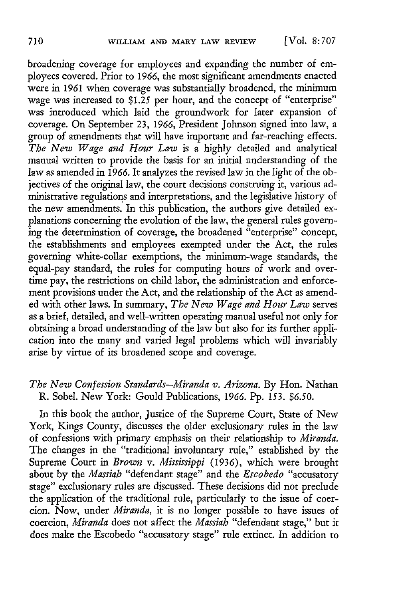broadening coverage for employees and expanding the number of employees covered. Prior to 1966, the most significant amendments enacted were in 1961 when coverage was substantially broadened, the minimum wage was increased to \$1.25 per hour, and the concept of "enterprise" was introduced which laid the groundwork for later expansion of coverage. On September 23, 1966, President Johnson signed into law, a group of amendments that will have important and far-reaching effects. *The New Wage and Hour Law* is a highly detailed and analytical manual written to provide the basis for an initial understanding of the law as amended in **1966.** It analyzes the revised law in the light of the objectives of the original law, the court decisions construing it, various administrative regulations and interpretations, and the legislative history of the new amendments. In this publication, the authors give detailed explanations concerning the evolution of the law, the general rules governing the determination of coverage, the broadened "enterprise" concept, the establishments and employees exempted under the Act, the rules governing white-collar exemptions, the minimum-wage standards, the equal-pay standard, the rules for computing hours of work and overtime pay, the restrictions on child labor, the administration and enforcement provisions under the Act, and the relationship of the Act as amended with other laws. In summary, *The New Wage and Hour Law* serves as a brief, detailed, and well-written operating manual useful not only for obtaining a broad understanding of the law but also for its further application into the many and varied legal problems which will invariably arise by virtue of its broadened scope and coverage.

#### *The New Confession Standards-Miranda v. Arizona.* By Hon. Nathan R. Sobel. New York: Gould Publications, **1966.** Pp. 153. *\$6.50.*

In this book the author, Justice of the Supreme Court, State of New York, Kings County, discusses the older exclusionary rules in the law of confessions with primary emphasis on their relationship to *Miranda.* The changes in the "traditional involuntary rule," established by the Supreme Court in *Browun v. Mississippi* (1936), which were brought about by the *Massiab* "defendant stage" and the *Escobedo* "accusatory stage" exclusionary rules are discussed. These decisions did not preclude the application of the traditional rule, particularly to the issue of coercion. Now, under *Miranda,* it is no longer possible to have issues of coercion, *Miranda* does not affect the *Massiah* "defendant stage," but it does make the Escobedo "accusatory stage" rule extinct. In addition to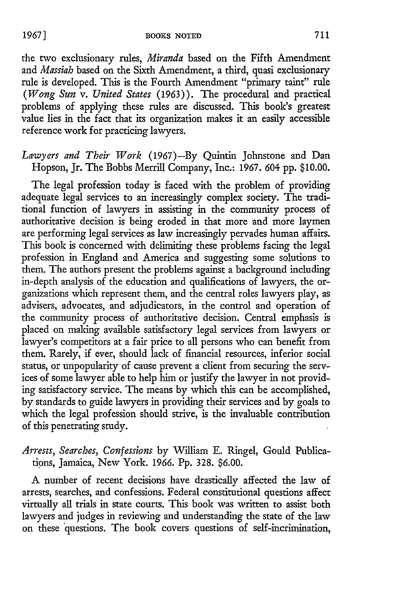the two exclusionary rules, *Miranda* based on the Fifth Amendment and *Massiah* based on the Sixth Amendment, a third, quasi exclusionary rule is developed. This is the Fourth Amendment "primary taint" rule *(Wong Sun v. United States* (1963)). The procedural and practical problems of applying these rules are discussed. This book's greatest value lies in the fact that its organization makes it an easily accessible reference work for practicing lawyers.

### *Lawyers and Their Work* (1967)-By Quintin Johnstone and Dan Hopson, Jr. The Bobbs Merrill Company, Inc.: 1967. 604 pp. \$10.00.

The legal profession today is faced with the problem of providing adequate legal services to an increasingly complex society. The traditional function of lawyers in assisting in the community process of authoritative decision is being eroded in that more and more laymen are performing legal services as law increasingly pervades human affairs. This book is concerned with delimiting these problems facing the legal profession in England and America and suggesting some solutions to them. The authors present the problems against a background including in-depth analysis of the education and qualifications of lawyers, the organizations which represent them, and the central roles lawyers play, as advisers, advocates, and adjudicators, in the control and operation of the community process of authoritative decision. Central emphasis is placed on making available satisfactory legal services from lawyers or lawyer's competitors at a fair price to all persons who can benefit from them. Rarely, if ever, should lack of financial resources, inferior social status, or unpopularity of cause prevent a client from securing the services of some lawyer able to help him or justify the lawyer in not providing satisfactory service. The means by which this can be accomplished, by standards to guide lawyers in providing their services and by goals to which the legal profession should strive, is the invaluable contribution of this penetrating study.

*Arrests, Searches, Confessions* by William E. Ringel, Gould Publications, Jamaica, New York. 1966. Pp. 328. \$6.00.

A number of recent decisions have drastically affected the law of arrests, searches, and confessions. Federal constitutional questions affect virtually all trials in state courts. This book was written to assist both lawyers and judges in reviewing and understanding the state of the law on these 'questions. The book covers questions of self-incrimination,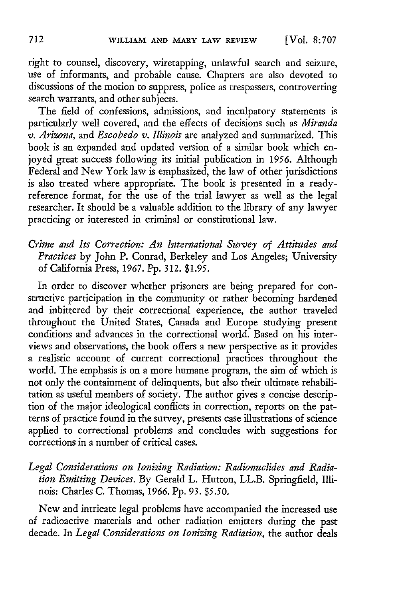right to counsel, discovery, wiretapping, unlawful search and seizure, use of informants, and probable cause. Chapters are also devoted to discussions of the motion to suppress, police as trespassers, controverting search warrants, and other subjects.

The field of confessions, admissions, and inculpatory statements is particularly well covered, and the effects of decisions such as *Miranda v. Arizona,* and *Escobedo v. Illinois* are analyzed and summarized. This book is an expanded and updated version of a similar book which enjoyed great success following its initial publication in *1956.* Although Federal and New York law is emphasized, the law of other jurisdictions is also treated where appropriate. The book is presented in a readyreference format, for the use of the trial lawyer as well as the legal researcher. It should be a valuable addition to the library of any lawyer practicing or interested in criminal or constitutional law.

*Crime and Its Correction: An International Survey of Attitudes and Practices* by John P. Conrad, Berkeley and Los Angeles; University of California Press, 1967. **Pp.** 312. \$1.95.

In order to discover whether prisoners are being prepared for constructive participation in the community or rather becoming hardened and inbittered by their correctional experience, the author traveled throughout the United States, Canada and Europe studying present conditions and advances in the correctional world. Based on his interviews and observations, the book offers a new perspective as it provides a realistic account of current correctional practices throughout the world. The emphasis is on a more humane program, the aim of which is not only the containment of delinquents, but also their ultimate rehabilitation as useful members of society. The author gives a concise description of the major ideological conflicts in correction, reports on the patterns of practice found in the survey, presents case illustrations of science applied to correctional problems and concludes with suggestions for corrections in a number of critical cases.

*Legal Considerations on Ionizing Radiation: Radionuclides and Radiation Emitting Devices.* By Gerald L. Hutton, LL.B. Springfield, Illinois: Charles C. Thomas, 1966. Pp. 93. *\$5.50.*

New and intricate legal problems have accompanied the increased use of radioactive materials and other radiation emitters during the past decade. In *Legal Considerations on Ionizing Radiation,* the author deals